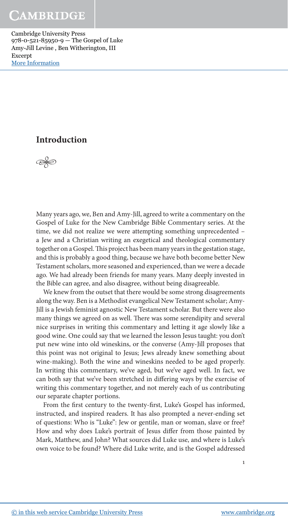Cambridge University Press 978-0-521-85950-9 — The Gospel of Luke Amy-Jill Levine , Ben Witherington, III Excerpt [More Information](www.cambridge.org/9780521859509)

#### **Introduction**



 Many years ago, we, Ben and Amy- Jill, agreed to write a commentary on the Gospel of Luke for the New Cambridge Bible Commentary series. At the time, we did not realize we were attempting something unprecedented – a Jew and a Christian writing an exegetical and theological commentary together on a Gospel. This project has been many years in the gestation stage, and this is probably a good thing, because we have both become better New Testament scholars, more seasoned and experienced, than we were a decade ago. We had already been friends for many years. Many deeply invested in the Bible can agree, and also disagree, without being disagreeable.

 We knew from the outset that there would be some strong disagreements along the way. Ben is a Methodist evangelical New Testament scholar; Amy-Jill is a Jewish feminist agnostic New Testament scholar. But there were also many things we agreed on as well. There was some serendipity and several nice surprises in writing this commentary and letting it age slowly like a good wine. One could say that we learned the lesson Jesus taught: you don't put new wine into old wineskins, or the converse (Amy- Jill proposes that this point was not original to Jesus; Jews already knew something about wine- making). Both the wine and wineskins needed to be aged properly. In writing this commentary, we've aged, but we've aged well. In fact, we can both say that we've been stretched in differing ways by the exercise of writing this commentary together, and not merely each of us contributing our separate chapter portions.

From the first century to the twenty-first, Luke's Gospel has informed, instructed, and inspired readers. It has also prompted a never-ending set of questions: Who is "Luke": Jew or gentile, man or woman, slave or free? How and why does Luke's portrait of Jesus differ from those painted by Mark, Matthew, and John? What sources did Luke use, and where is Luke's own voice to be found? Where did Luke write, and is the Gospel addressed

1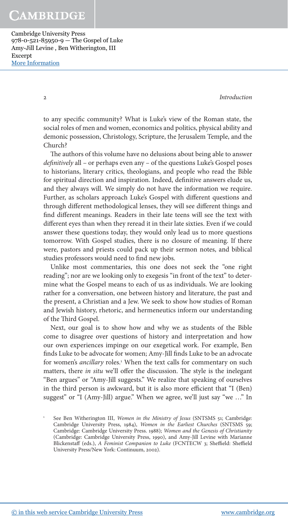Cambridge University Press 978-0-521-85950-9 — The Gospel of Luke Amy-Jill Levine , Ben Witherington, III Excerpt [More Information](www.cambridge.org/9780521859509)

2 Introduction

to any specific community? What is Luke's view of the Roman state, the social roles of men and women, economics and politics, physical ability and demonic possession, Christology, Scripture, the Jerusalem Temple, and the Church?

The authors of this volume have no delusions about being able to answer definitively all - or perhaps even any - of the questions Luke's Gospel poses to historians, literary critics, theologians, and people who read the Bible for spiritual direction and inspiration. Indeed, definitive answers elude us, and they always will. We simply do not have the information we require. Further, as scholars approach Luke's Gospel with different questions and through different methodological lenses, they will see different things and find different meanings. Readers in their late teens will see the text with different eyes than when they reread it in their late sixties. Even if we could answer these questions today, they would only lead us to more questions tomorrow. With Gospel studies, there is no closure of meaning. If there were, pastors and priests could pack up their sermon notes, and biblical studies professors would need to find new jobs.

 Unlike most commentaries, this one does not seek the "one right reading"; nor are we looking only to exegesis "in front of the text" to determine what the Gospel means to each of us as individuals. We are looking rather for a conversation, one between history and literature, the past and the present, a Christian and a Jew. We seek to show how studies of Roman and Jewish history, rhetoric, and hermeneutics inform our understanding of the Third Gospel.

 Next, our goal is to show how and why we as students of the Bible come to disagree over questions of history and interpretation and how our own experiences impinge on our exegetical work. For example, Ben finds Luke to be advocate for women; Amy-Jill finds Luke to be an advocate for women's ancillary roles.<sup>1</sup> When the text calls for commentary on such matters, there in situ we'll offer the discussion. The style is the inelegant "Ben argues" or "Amy-Jill suggests." We realize that speaking of ourselves in the third person is awkward, but it is also more efficient that "I (Ben) suggest" or "I (Amy-Jill) argue." When we agree, we'll just say "we ..." In

See Ben Witherington III, Women in the Ministry of Jesus (SNTSMS 51; Cambridge: Cambridge University Press, 1984), Women in the Earliest Churches (SNTSMS 59; Cambridge: Cambridge University Press. 1988); Women and the Genesis of Christianity (Cambridge: Cambridge University Press, 1990), and Amy- Jill Levine with Marianne Blickenstaff (eds.), A Feminist Companion to Luke (FCNTECW 3; Sheffield: Sheffield University Press/ New York: Continuum, 2002).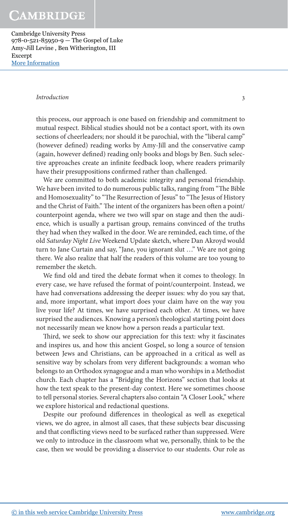Cambridge University Press 978-0-521-85950-9 — The Gospel of Luke Amy-Jill Levine , Ben Witherington, III Excerpt [More Information](www.cambridge.org/9780521859509)

#### Introduction 3

this process, our approach is one based on friendship and commitment to mutual respect. Biblical studies should not be a contact sport, with its own sections of cheerleaders; nor should it be parochial, with the "liberal camp" (however defined) reading works by Amy-Jill and the conservative camp (again, however defined) reading only books and blogs by Ben. Such selective approaches create an infinite feedback loop, where readers primarily have their presuppositions confirmed rather than challenged.

 We are committed to both academic integrity and personal friendship. We have been invited to do numerous public talks, ranging from "The Bible" and Homosexuality" to "The Resurrection of Jesus" to "The Jesus of History and the Christ of Faith." The intent of the organizers has been often a point/ counterpoint agenda, where we two will spar on stage and then the audience, which is usually a partisan group, remains convinced of the truths they had when they walked in the door. We are reminded, each time, of the old Saturday Night Live Weekend Update sketch, where Dan Akroyd would turn to Jane Curtain and say, "Jane, you ignorant slut …" We are not going there. We also realize that half the readers of this volume are too young to remember the sketch.

We find old and tired the debate format when it comes to theology. In every case, we have refused the format of point/counterpoint. Instead, we have had conversations addressing the deeper issues: why do you say that, and, more important, what import does your claim have on the way you live your life? At times, we have surprised each other. At times, we have surprised the audiences. Knowing a person's theological starting point does not necessarily mean we know how a person reads a particular text.

Third, we seek to show our appreciation for this text: why it fascinates and inspires us, and how this ancient Gospel, so long a source of tension between Jews and Christians, can be approached in a critical as well as sensitive way by scholars from very different backgrounds: a woman who belongs to an Orthodox synagogue and a man who worships in a Methodist church. Each chapter has a "Bridging the Horizons" section that looks at how the text speak to the present- day context. Here we sometimes choose to tell personal stories. Several chapters also contain "A Closer Look," where we explore historical and redactional questions.

Despite our profound differences in theological as well as exegetical views, we do agree, in almost all cases, that these subjects bear discussing and that conflicting views need to be surfaced rather than suppressed. Were we only to introduce in the classroom what we, personally, think to be the case, then we would be providing a disservice to our students. Our role as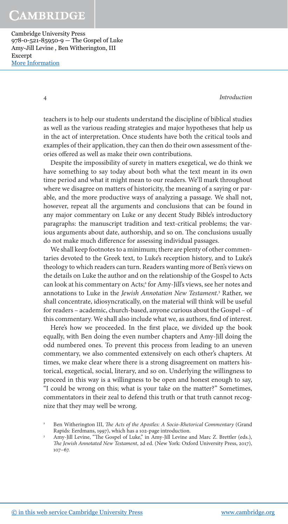Cambridge University Press 978-0-521-85950-9 — The Gospel of Luke Amy-Jill Levine , Ben Witherington, III Excerpt [More Information](www.cambridge.org/9780521859509)

4 Introduction

teachers is to help our students understand the discipline of biblical studies as well as the various reading strategies and major hypotheses that help us in the act of interpretation. Once students have both the critical tools and examples of their application, they can then do their own assessment of theories of ered as well as make their own contributions.

 Despite the impossibility of surety in matters exegetical, we do think we have something to say today about both what the text meant in its own time period and what it might mean to our readers. We'll mark throughout where we disagree on matters of historicity, the meaning of a saying or parable, and the more productive ways of analyzing a passage. We shall not, however, repeat all the arguments and conclusions that can be found in any major commentary on Luke or any decent Study Bible's introductory paragraphs: the manuscript tradition and text- critical problems; the various arguments about date, authorship, and so on. The conclusions usually do not make much difference for assessing individual passages.

 We shall keep footnotes to a minimum; there are plenty of other commentaries devoted to the Greek text, to Luke's reception history, and to Luke's theology to which readers can turn. Readers wanting more of Ben's views on the details on Luke the author and on the relationship of the Gospel to Acts can look at his commentary on Acts;<sup>2</sup> for Amy-Jill's views, see her notes and annotations to Luke in the Jewish Annotation New Testament.<sup>3</sup> Rather, we shall concentrate, idiosyncratically, on the material will think will be useful for readers – academic, church- based, anyone curious about the Gospel – of this commentary. We shall also include what we, as authors, find of interest.

Here's how we proceeded. In the first place, we divided up the book equally, with Ben doing the even number chapters and Amy- Jill doing the odd numbered ones. To prevent this process from leading to an uneven commentary, we also commented extensively on each other's chapters. At times, we make clear where there is a strong disagreement on matters historical, exegetical, social, literary, and so on. Underlying the willingness to proceed in this way is a willingness to be open and honest enough to say, "I could be wrong on this; what is your take on the matter?" Sometimes, commentators in their zeal to defend this truth or that truth cannot recognize that they may well be wrong.

Ben Witherington III, The Acts of the Apostles: A Socio-Rhetorical Commentary (Grand Rapids: Eerdmans, 1997), which has a 102- page introduction.

Amy-Jill Levine, "The Gospel of Luke," in Amy-Jill Levine and Marc Z. Brettler (eds.), The Jewish Annotated New Testament, 2d ed. (New York: Oxford University Press, 2017),  $107 - 67.$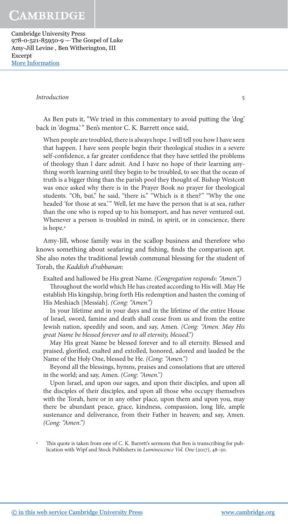Cambridge University Press 978-0-521-85950-9 — The Gospel of Luke Amy-Jill Levine , Ben Witherington, III Excerpt [More Information](www.cambridge.org/9780521859509)

#### **Introduction** 5

 As Ben puts it, "We tried in this commentary to avoid putting the 'dog' back in 'dogma.' " Ben's mentor C. K. Barrett once said,

 When people are troubled, there is always hope. I will tell you how I have seen that happen. I have seen people begin their theological studies in a severe self-confidence, a far greater confidence that they have settled the problems of theology than I dare admit. And I have no hope of their learning anything worth learning until they begin to be troubled, to see that the ocean of truth is a bigger thing than the parish pool they thought of. Bishop Westcott was once asked why there is in the Prayer Book no prayer for theological students. "Oh, but," he said, "there is." "Which is it then?" "Why the one headed 'for those at sea.'" Well, let me have the person that is at sea, rather than the one who is roped up to his homeport, and has never ventured out. Whenever a person is troubled in mind, in spirit, or in conscience, there is hope. <sup>4</sup>

 Amy- Jill, whose family was in the scallop business and therefore who knows something about seafaring and fishing, finds the comparison apt. She also notes the traditional Jewish communal blessing for the student of Torah, the Kaddish d'rabbanan:

Exalted and hallowed be His great Name. (Congregation responds: "Amen.")

Throughout the world which He has created according to His will. May He establish His kingship, bring forth His redemption and hasten the coming of His Meshiach [Messiah]. (Cong: "Amen.")

 In your lifetime and in your days and in the lifetime of the entire House of Israel, sword, famine and death shall cease from us and from the entire Jewish nation, speedily and soon, and say, Amen. (Cong: "Amen. May His great Name be blessed forever and to all eternity, blessed.")

 May His great Name be blessed forever and to all eternity. Blessed and praised, glorified, exalted and extolled, honored, adored and lauded be the Name of the Holy One, blessed be He. (Cong: "Amen.")

 Beyond all the blessings, hymns, praises and consolations that are uttered in the world; and say, Amen. (Cong: "Amen.")

 Upon Israel, and upon our sages, and upon their disciples, and upon all the disciples of their disciples, and upon all those who occupy themselves with the Torah, here or in any other place, upon them and upon you, may there be abundant peace, grace, kindness, compassion, long life, ample sustenance and deliverance, from their Father in heaven; and say, Amen. (Cong: "Amen.")

This quote is taken from one of C. K. Barrett's sermons that Ben is transcribing for publication with Wipf and Stock Publishers in Luminescence Vol. One (2017), 48-50.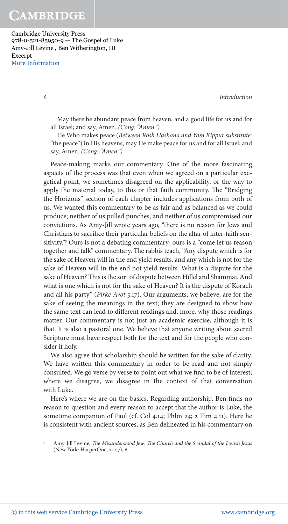Cambridge University Press 978-0-521-85950-9 — The Gospel of Luke Amy-Jill Levine , Ben Witherington, III Excerpt [More Information](www.cambridge.org/9780521859509)

6 Introduction

 May there be abundant peace from heaven, and a good life for us and for all Israel; and say, Amen. (Cong: "Amen.")

He Who makes peace (Between Rosh Hashana and Yom Kippur substitute: "the peace") in His heavens, may He make peace for us and for all Israel; and say, Amen. (Cong: "Amen.")

 Peace- making marks our commentary. One of the more fascinating aspects of the process was that even when we agreed on a particular exegetical point, we sometimes disagreed on the applicability, or the way to apply the material today, to this or that faith community. The "Bridging the Horizons" section of each chapter includes applications from both of us. We wanted this commentary to be as fair and as balanced as we could produce; neither of us pulled punches, and neither of us compromised our convictions. As Amy- Jill wrote years ago, "there is no reason for Jews and Christians to sacrifice their particular beliefs on the altar of inter-faith sensitivity."<sup>5</sup> Ours is not a debating commentary; ours is a "come let us reason together and talk" commentary. The rabbis teach, "Any dispute which is for the sake of Heaven will in the end yield results, and any which is not for the sake of Heaven will in the end not yield results. What is a dispute for the sake of Heaven? This is the sort of dispute between Hillel and Shammai. And what is one which is not for the sake of Heaven? It is the dispute of Korach and all his party" (Pirke Avot 5.17). Our arguments, we believe, are for the sake of seeing the meanings in the text; they are designed to show how the same text can lead to different readings and, more, why those readings matter. Our commentary is not just an academic exercise, although it is that. It is also a pastoral one. We believe that anyone writing about sacred Scripture must have respect both for the text and for the people who consider it holy.

 We also agree that scholarship should be written for the sake of clarity. We have written this commentary in order to be read and not simply consulted. We go verse by verse to point out what we find to be of interest; where we disagree, we disagree in the context of that conversation with Luke.

Here's where we are on the basics. Regarding authorship, Ben finds no reason to question and every reason to accept that the author is Luke, the sometime companion of Paul (cf. Col 4.14; Phlm 24; 2 Tim 4.11). Here he is consistent with ancient sources, as Ben delineated in his commentary on

Amy-Jill Levine, The Misunderstood Jew: The Church and the Scandal of the Jewish Jesus (New York: HarperOne, 2007), 6.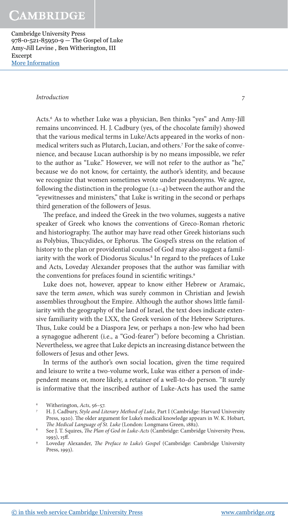Cambridge University Press 978-0-521-85950-9 — The Gospel of Luke Amy-Jill Levine , Ben Witherington, III Excerpt [More Information](www.cambridge.org/9780521859509)

#### Introduction 7

Acts.<sup>6</sup> As to whether Luke was a physician, Ben thinks "yes" and Amy-Jill remains unconvinced. H. J. Cadbury (yes, of the chocolate family) showed that the various medical terms in Luke/ Acts appeared in the works of nonmedical writers such as Plutarch, Lucian, and others.<sup>7</sup> For the sake of convenience, and because Lucan authorship is by no means impossible, we refer to the author as "Luke." However, we will not refer to the author as "he," because we do not know, for certainty, the author's identity, and because we recognize that women sometimes wrote under pseudonyms. We agree, following the distinction in the prologue  $(1.1-4)$  between the author and the "eyewitnesses and ministers," that Luke is writing in the second or perhaps third generation of the followers of Jesus.

The preface, and indeed the Greek in the two volumes, suggests a native speaker of Greek who knows the conventions of Greco- Roman rhetoric and historiography. The author may have read other Greek historians such as Polybius, Thucydides, or Ephorus. The Gospel's stress on the relation of history to the plan or providential counsel of God may also suggest a familiarity with the work of Diodorus Siculus.<sup>8</sup> In regard to the prefaces of Luke and Acts, Loveday Alexander proposes that the author was familiar with the conventions for prefaces found in scientific writings.<sup>9</sup>

 Luke does not, however, appear to know either Hebrew or Aramaic, save the term amen, which was surely common in Christian and Jewish assemblies throughout the Empire. Although the author shows little familiarity with the geography of the land of Israel, the text does indicate extensive familiarity with the LXX, the Greek version of the Hebrew Scriptures. Thus, Luke could be a Diaspora Jew, or perhaps a non-Jew who had been a synagogue adherent (i.e., a "God- fearer") before becoming a Christian. Nevertheless, we agree that Luke depicts an increasing distance between the followers of Jesus and other Jews.

 In terms of the author's own social location, given the time required and leisure to write a two- volume work, Luke was either a person of independent means or, more likely, a retainer of a well-to-do person. "It surely is informative that the inscribed author of Luke- Acts has used the same

Witherington, Acts, 56–57.

H. J. Cadbury, Style and Literary Method of Luke, Part I (Cambridge: Harvard University Press, 1920). The older argument for Luke's medical knowledge appears in W. K. Hobart, The Medical Language of St. Luke (London: Longmans Green, 1882).

See J. T. Squires, *The Plan of God in Luke-Acts* (Cambridge: Cambridge University Press, 1993), 15ff.

Loveday Alexander, The Preface to Luke's Gospel (Cambridge: Cambridge University Press, 1993).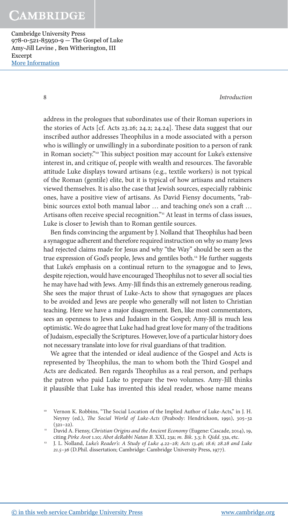Cambridge University Press 978-0-521-85950-9 — The Gospel of Luke Amy-Jill Levine , Ben Witherington, III Excerpt [More Information](www.cambridge.org/9780521859509)

8 Introduction

address in the prologues that subordinates use of their Roman superiors in the stories of Acts [cf. Acts 23.26; 24.2; 24.24]. These data suggest that our inscribed author addresses Theophilus in a mode associated with a person who is willingly or unwillingly in a subordinate position to a person of rank in Roman society."<sup>10</sup> This subject position may account for Luke's extensive interest in, and critique of, people with wealth and resources. The favorable attitude Luke displays toward artisans (e.g., textile workers) is not typical of the Roman (gentile) elite, but it is typical of how artisans and retainers viewed themselves. It is also the case that Jewish sources, especially rabbinic ones, have a positive view of artisans. As David Fiensy documents, "rabbinic sources extol both manual labor ... and teaching one's son a craft ... Artisans often receive special recognition."<sup>11</sup> At least in terms of class issues, Luke is closer to Jewish than to Roman gentile sources.

Ben finds convincing the argument by J. Nolland that Theophilus had been a synagogue adherent and therefore required instruction on why so many Jews had rejected claims made for Jesus and why "the Way" should be seen as the true expression of God's people, Jews and gentiles both. <sup>12</sup> He further suggests that Luke's emphasis on a continual return to the synagogue and to Jews, despite rejection, would have encouraged Theophilus not to sever all social ties he may have had with Jews. Amy-Jill finds this an extremely generous reading. She sees the major thrust of Luke- Acts to show that synagogues are places to be avoided and Jews are people who generally will not listen to Christian teaching. Here we have a major disagreement. Ben, like most commentators, sees an openness to Jews and Judaism in the Gospel; Amy- Jill is much less optimistic. We do agree that Luke had had great love for many of the traditions of Judaism, especially the Scriptures. However, love of a particular history does not necessary translate into love for rival guardians of that tradition.

 We agree that the intended or ideal audience of the Gospel and Acts is represented by Theophilus, the man to whom both the Third Gospel and Acts are dedicated. Ben regards Theophilus as a real person, and perhaps the patron who paid Luke to prepare the two volumes. Amy-Jill thinks it plausible that Luke has invented this ideal reader, whose name means

l Vernon K. Robbins, "The Social Location of the Implied Author of Luke-Acts," in J. H. Neyrey (ed.), The Social World of Luke-Acts (Peabody: Hendrickson, 1991), 305-32  $(321-22)$ .

<sup>&</sup>lt;sup>11</sup> David A. Fiensy, Christian Origins and the Ancient Economy (Eugene: Cascade, 2014), 19, citing Pirke Avot 1.10; Abot deRabbi Natan B. XXI, 23a; m. Bik. 3.3; b. Qidd. 33a, etc.

 $\frac{1}{2}$ J. L. Nolland, Luke's Reader's: A Study of Luke 4.22-28; Acts 13.46; 18.6; 28.28 and Luke 21.5– 36 (D.Phil. dissertation; Cambridge: Cambridge University Press, 1977).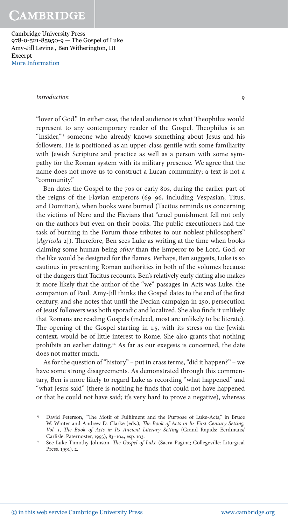Cambridge University Press 978-0-521-85950-9 — The Gospel of Luke Amy-Jill Levine , Ben Witherington, III Excerpt [More Information](www.cambridge.org/9780521859509)

#### Introduction 9

"lover of God." In either case, the ideal audience is what Theophilus would represent to any contemporary reader of the Gospel. Theophilus is an "insider,"<sup>13</sup> someone who already knows something about Jesus and his followers. He is positioned as an upper- class gentile with some familiarity with Jewish Scripture and practice as well as a person with some sympathy for the Roman system with its military presence. We agree that the name does not move us to construct a Lucan community; a text is not a "community."

 Ben dates the Gospel to the 70s or early 80s, during the earlier part of the reigns of the Flavian emperors (69-96, including Vespasian, Titus, and Domitian), when books were burned (Tacitus reminds us concerning the victims of Nero and the Flavians that "cruel punishment fell not only on the authors but even on their books. The public executioners had the task of burning in the Forum those tributes to our noblest philosophers"  $[Agricola 2]$ ). Therefore, Ben sees Luke as writing at the time when books claiming some human being other than the Emperor to be Lord, God, or the like would be designed for the flames. Perhaps, Ben suggests, Luke is so cautious in presenting Roman authorities in both of the volumes because of the dangers that Tacitus recounts. Ben's relatively early dating also makes it more likely that the author of the "we" passages in Acts was Luke, the companion of Paul. Amy-Jill thinks the Gospel dates to the end of the first century, and she notes that until the Decian campaign in 250, persecution of Jesus' followers was both sporadic and localized. She also finds it unlikely that Romans are reading Gospels (indeed, most are unlikely to be literate). The opening of the Gospel starting in 1.5, with its stress on the Jewish context, would be of little interest to Rome. She also grants that nothing prohibits an earlier dating.<sup>14</sup> As far as our exegesis is concerned, the date does not matter much.

 As for the question of "history" – put in crass terms, "did it happen?" – we have some strong disagreements. As demonstrated through this commentary, Ben is more likely to regard Luke as recording "what happened" and "what Jesus said" (there is nothing he finds that could not have happened or that he could not have said; it's very hard to prove a negative), whereas

 $13$ David Peterson, "The Motif of Fulfilment and the Purpose of Luke-Acts," in Bruce W. Winter and Andrew D. Clarke (eds.), The Book of Acts in Its First Century Setting, Vol. 1, The Book of Acts in Its Ancient Literary Setting (Grand Rapids: Eerdmans/ Carlisle: Paternoster, 1993), 83– 104, esp. 103.

<sup>&</sup>lt;sup>14</sup> See Luke Timothy Johnson, *The Gospel of Luke* (Sacra Pagina; Collegeville: Liturgical Press, 1991), 2.